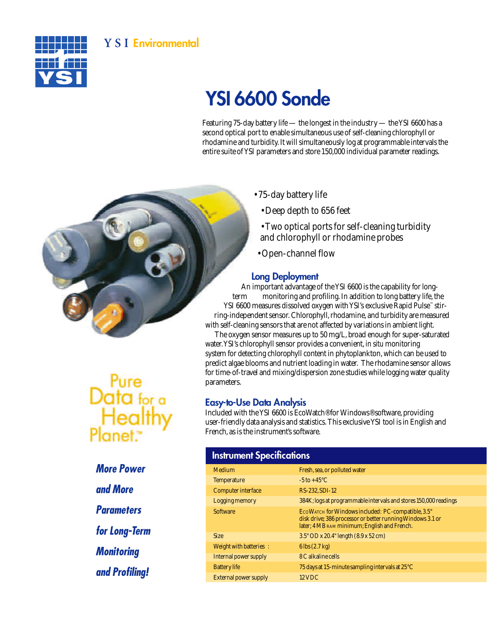## **Y S I** Environmental



# YSI 6600 Sonde

Featuring 75-day battery life — the longest in the industry — the YSI 6600 has a second optical port to enable simultaneous use of self-cleaning chlorophyll or rhodamine and turbidity. It will simultaneously log at programmable intervals the entire suite of YSI parameters and store 150,000 individual parameter readings.

- 75-day battery life
	- Deep depth to 656 feet
	- Two optical ports for self-cleaning turbidity and chlorophyll or rhodamine probes
- Open-channel flow

#### Long Deployment

An important advantage of the YSI 6600 is the capability for longterm monitoring and profiling. In addition to long battery life, the YSI 6600 measures dissolved oxygen with YSI's exclusive Rapid Pulse™ stirring-independent sensor. Chlorophyll, rhodamine, and turbidity are measured with self-cleaning sensors that are not affected by variations in ambient light.

The oxygen sensor measures up to 50 mg/L, broad enough for super-saturated water. YSI's chlorophyll sensor provides a convenient, *in situ* monitoring system for detecting chlorophyll content in phytoplankton, which can be used to predict algae blooms and nutrient loading in water. The rhodamine sensor allows for time-of-travel and mixing/dispersion zone studies while logging water quality parameters.

#### Easy-to-Use Data Analysis

Included with the YSI 6600 is EcoWatch® for Windows® software, providing user-friendly data analysis and statistics. This exclusive YSI tool is in English and French, as is the instrument's software.

#### **Instrument Specifications**

| Medium                       | Fresh, sea, or polluted water                                                                                                                                    |
|------------------------------|------------------------------------------------------------------------------------------------------------------------------------------------------------------|
| <b>Temperature</b>           | $-5$ to $+45^{\circ}$ C                                                                                                                                          |
| Computer interface           | RS-232.SDI-12                                                                                                                                                    |
| Logging memory               | 384K; logs at programmable intervals and stores 150,000 readings                                                                                                 |
| <b>Software</b>              | ECOWATCH for Windows included: PC-compatible, 3.5"<br>disk drive; 386 processor or better running Windows 3.1 or<br>later; 4 MB RAM minimum; English and French. |
| <b>Size</b>                  | $3.5"$ OD x 20.4" length $(8.9 \times 52 \text{ cm})$                                                                                                            |
| Weight with batteries:       | $6 \,\text{lbs} (2.7 \,\text{kg})$                                                                                                                               |
| Internal power supply        | 8 C alkaline cells                                                                                                                                               |
| <b>Battery</b> life          | 75 days at 15-minute sampling intervals at 25°C                                                                                                                  |
| <b>External power supply</b> | $12$ VDC                                                                                                                                                         |

*More Power and More Parameters for Long-Term Monitoring and Profiling!*